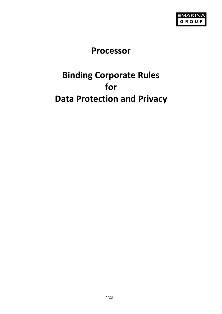

# **Processor**

# **Binding Corporate Rules for Data Protection and Privacy**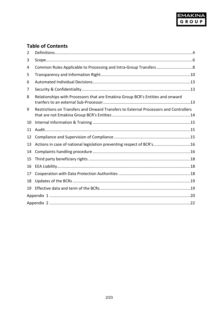

# **Table of Contents**

| 2  |                                                                                       |  |  |
|----|---------------------------------------------------------------------------------------|--|--|
| 3  |                                                                                       |  |  |
| 4  |                                                                                       |  |  |
| 5  |                                                                                       |  |  |
| 6  |                                                                                       |  |  |
| 7  |                                                                                       |  |  |
| 8  | Relationships with Processors that are Emakina Group BCR's Entities and onward        |  |  |
| 9  | Restrictions on Transfers and Onward Transfers to External Processors and Controllers |  |  |
| 10 |                                                                                       |  |  |
| 11 |                                                                                       |  |  |
| 12 |                                                                                       |  |  |
| 13 | Actions in case of national legislation preventing respect of BCR's16                 |  |  |
| 14 |                                                                                       |  |  |
| 15 |                                                                                       |  |  |
| 16 |                                                                                       |  |  |
| 17 |                                                                                       |  |  |
| 18 |                                                                                       |  |  |
| 19 |                                                                                       |  |  |
|    |                                                                                       |  |  |
|    |                                                                                       |  |  |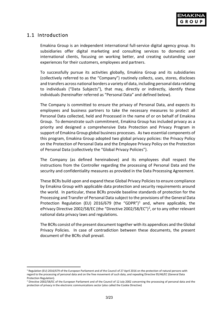# 1.1 Introduction

Emakina Group is an independent international full-service digital agency group. Its subsidiaries offer digital marketing and consulting services to domestic and international clients, focusing on working better, and creating outstanding user experiences for their customers, employees and partners.

To successfully pursue its activities globally, Emakina Group and its subsidiaries (collectively referred to as the "Company") routinely collects, uses, stores, discloses and transfers across national borders a variety of data, including personal data relating to individuals ("Data Subjects"), that may, directly or indirectly, identify these individuals (hereinafter referred as "Personal Data" and defined below).

The Company is committed to ensure the privacy of Personal Data, and expects its employees and business partners to take the necessary measures to protect all Personal Data collected, held and Processed in the name of or on behalf of Emakina Group. To demonstrate such commitment, Emakina Group has included privacy as a priority and designed a comprehensive Data Protection and Privacy Program in support of Emakina Group global business processes. As two essential components of this program, Emakina Group adopted two global privacy policies: the Privacy Policy on the Protection of Personal Data and the Employee Privacy Policy on the Protection of Personal Data (collectively the "Global Privacy Policies").

The Company (as defined hereinabove) and its employees shall respect the instructions from the Controller regarding the processing of Personal Data and the security and confidentiality measures as provided in the Data Processing Agreement.

These BCRs build upon and expand these Global Privacy Policies to ensure compliance by Emakina Group with applicable data protection and security requirements around the world. In particular, these BCRs provide baseline standards of protection for the Processing and Transfer of Personal Data subject to the provisions of the General Data Protection Regulation (EU) 20[1](#page-2-0)6/679 (the "GDPR")<sup>1</sup> and, where applicable, the ePrivacy Directive 2002/58/EC (the "Directive 2002/58/EC")[2,](#page-2-1) or to any other relevant national data privacy laws and regulations.

The BCRs consist of the present document together with its appendices and the Global Privacy Policies. In case of contradiction between these documents, the present document of the BCRs shall prevail.

<span id="page-2-0"></span><sup>1</sup> Regulation (EU) 2016/679 of the European Parliament and of the Council of 27 April 2016 on the protection of natural persons with regard to the processing of personal data and on the free movement of such data, and repealing Directive 95/46/EC (General Data Protection Regulation).

<span id="page-2-1"></span><sup>&</sup>lt;sup>2</sup> Directive 2002/58/EC of the European Parliament and of the Council of 12 July 2002 concerning the processing of personal data and the protection of privacy in the electronic communications sector (also called the Cookie Directive)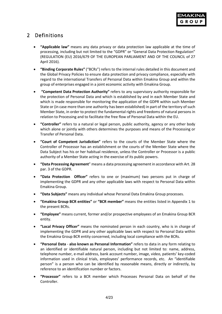# <span id="page-3-0"></span>2 Definitions

- **"Applicable law"** means any data privacy or data protection law applicable at the time of processing, including but not limited to the "GDPR" or "General Data Protection Regulation" (REGULATION (EU) 2016/679 OF THE EUROPEAN PARLIAMENT AND OF THE COUNCIL of 27 April 2016).
- **"Binding Corporate Rules"** ("BCRs") refers to the internal rules detailed in this document and the Global Privacy Policies to ensure data protection and privacy compliance, especially with regard to the international Transfers of Personal Data within Emakina Group and within the group of enterprises engaged in a joint economic activity with Emakina Group.
- **"Competent Data Protection Authority"** refers to any supervisory authority responsible for the protection of Personal Data and which is established by and in each Member State and which is made responsible for monitoring the application of the GDPR within such Member State or (in case more than one authority has been established) in part of the territory of such Member State, in order to protect the fundamental rights and freedoms of natural persons in relation to Processing and to facilitate the free flow of Personal Data within the EU.
- **"Controller"** refers to a natural or legal person, public authority, agency or any other body which alone or jointly with others determines the purposes and means of the Processing or Transfer of Personal Data.
- **"Court of Competent Jurisdiction"** refers to the courts of the Member State where the Controller of Processor has an establishment or the courts of the Member State where the Data Subject has his or her habitual residence, unless the Controller or Processor is a public authority of a Member State acting in the exercise of its public powers.
- **"Data Processing Agreement**" means a data processing agreement in accordance with Art. 28 par. 3 of the GDPR.
- **"Data Protection Officer"** refers to one or (maximum) two persons put in charge of implementing the GDPR and any other applicable laws with respect to Personal Data within Emakina Group.
- **"Data Subjects"** means any individual whose Personal Data Emakina Group processes.
- **"Emakina Group BCR entities"** or **"BCR member"** means the entities listed in Appendix 1 to the present BCRs.
- **"Employee"** means current, former and/or prospective employees of an Emakina Group BCR entity.
- **"Local Privacy Officer"** means the nominated person in each country, who is in charge of implementing the GDPR and any other applicable laws with respect to Personal Data within the Emakina Group BCR entity concerned, including local compliance with the BCRs.
- **"Personal Data also known as Personal Information"** refers to data in any form relating to an identified or identifiable natural person, including but not limited to: name, address, telephone number, e-mail address, bank account number, image, video, patients' key-coded information used in clinical trials, employees' performance records, etc. An "identifiable person" is a person who can be identified by reasonable means, directly or indirectly, by reference to an identification number or factors.
- **"Processor"** refers to a BCR member which Processes Personal Data on behalf of the Controller.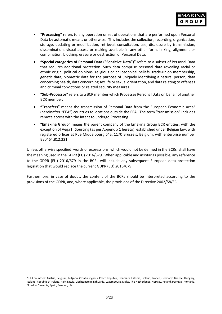- **"Processing"** refers to any operation or set of operations that are performed upon Personal Data by automatic means or otherwise. This includes the collection, recording, organization, storage, updating or modification, retrieval, consultation, use, disclosure by transmission, dissemination, visual access or making available in any other form, linking, alignment or combination, blocking, erasure or destruction of Personal Data.
- **"Special categories of Personal Data ("Sensitive Data")"** refers to a subset of Personal Data that requires additional protection. Such data comprise personal data revealing racial or ethnic origin, political opinions, religious or philosophical beliefs, trade-union membership, genetic data, biometric data for the purpose of uniquely identifying a natural person, data concerning health, data concerning sex life or sexual orientation, and data relating to offenses and criminal convictions or related security measures.
- **"Sub-Processor"** refers to a BCR member which Processes Personal Data on behalf of another BCR member.
- **"Transfers"** means the transmission of Personal Data from the European Economic Are[a3](#page-4-0) (hereinafter "EEA") countries to locations outside the EEA. The term "transmission" includes remote access with the intent to undergo Processing.
- **"Emakina Group"** means the parent company of the Emakina Group BCR entities, with the exception of Vega IT Sourcing (as per Appendix 1 hereto), established under Belgian law, with registered offices at Rue Middelbourg 64a, 1170 Brussels, Belgium, with enterprise number BE0464.812.221.

Unless otherwise specified, words or expressions, which would not be defined in the BCRs, shall have the meaning used in the GDPR (EU) 2016/679. When applicable and insofar as possible, any reference to the GDPR (EU) 2016/679 in the BCRs will include any subsequent European data protection legislation that would replace the current GDPR (EU) 2016/679.

Furthermore, in case of doubt, the content of the BCRs should be interpreted according to the provisions of the GDPR, and, where applicable, the provisions of the Directive 2002/58/EC.

<span id="page-4-0"></span><sup>&</sup>lt;sup>3</sup> EEA countries: Austria, Belgium, Bulgaria, Croatia, Cyprus, Czech Republic, Denmark, Estonia, Finland, France, Germany, Greece, Hungary, Iceland, Republic of Ireland, Italy, Latvia, Liechtenstein, Lithuania, Luxembourg, Malta, The Netherlands, Norway, Poland, Portugal, Romania, Slovakia, Slovenia, Spain, Sweden, UK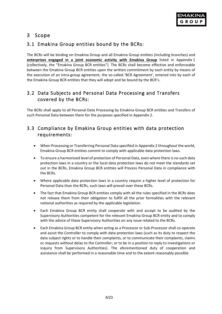

# <span id="page-5-0"></span>3 Scope

### 3.1 Emakina Group entities bound by the BCRs:

The BCRs will be binding on Emakina Group and all Emakina Group entities (including branches) and **enterprises engaged in a joint economic activity with Emakina Group** listed in Appendix 1 (collectively, the "Emakina Group BCR entities"). The BCRs shall become effective and enforceable between the Emakina Group BCR entities upon the written commitment by each entity by means of the execution of an Intra-group agreement, the so-called 'BCR Agreement', entered into by each of the Emakina Group BCR entities that they will adopt and be bound by the BCR's.

## 3.2 Data Subjects and Personal Data Processing and Transfers covered by the BCRs:

The BCRs shall apply to all Personal Data Processing by Emakina Group BCR entities and Transfers of such Personal Data between them for the purposes specified in Appendix 2.

### 3.3 Compliance by Emakina Group entities with data protection requirements:

- When Processing or Transferring Personal Data specified in Appendix 2 throughout the world, Emakina Group BCR entities commit to comply with applicable data protection laws.
- To ensure a harmonized level of protection of Personal Data, even where there is no such data protection laws in a country or the local data protection laws do not meet the standards set out in the BCRs, Emakina Group BCR entities will Process Personal Data in compliance with the BCRs.
- Where applicable data protection laws in a country require a higher level of protection for Personal Data than the BCRs, such laws will prevail over these BCRs.
- The fact that Emakina Group BCR entities comply with all the rules specified in the BCRs does not release them from their obligation to fulfill all the prior formalities with the relevant national authorities as required by the applicable legislation.
- Each Emakina Group BCR entity shall cooperate with and accept to be audited by the Supervisory Authorities competent for the relevant Emakina Group BCR entity and to comply with the advice of these Supervisory Authorities on any issue related to the BCRs.
- Each Emakina Group BCR entity when acting as a Processor or Sub-Processor shall co-operate and assist the Controller to comply with data protection laws (such as its duty to respect the data subject rights or to handle their complaints, or to communicate their complaints, claims or requests without delay to the Controller; or to be in a position to reply to investigations or inquiry from Supervisory Authorities). The aforementioned duty of cooperation and assistance shall be performed in a reasonable time and to the extent reasonably possible.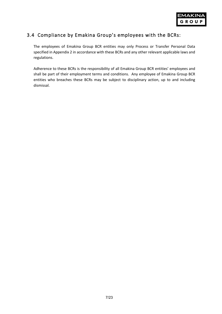

### 3.4 Compliance by Emakina Group's employees with the BCRs:

The employees of Emakina Group BCR entities may only Process or Transfer Personal Data specified in Appendix 2 in accordance with these BCRs and any other relevant applicable laws and regulations.

Adherence to these BCRs is the responsibility of all Emakina Group BCR entities' employees and shall be part of their employment terms and conditions. Any employee of Emakina Group BCR entities who breaches these BCRs may be subject to disciplinary action, up to and including dismissal.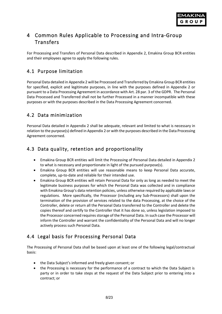

# <span id="page-7-0"></span>4 Common Rules Applicable to Processing and Intra-Group Transfers

For Processing and Transfers of Personal Data described in Appendix 2, Emakina Group BCR entities and their employees agree to apply the following rules.

# 4.1 Purpose limitation

Personal Data detailed in Appendix 2 will be Processed and Transferred by Emakina Group BCR entities for specified, explicit and legitimate purposes, in line with the purposes defined in Appendix 2 or pursuant to a Data Processing Agreement in accordance with Art. 28 par. 3 of the GDPR. The Personal Data Processed and Transferred shall not be further Processed in a manner incompatible with these purposes or with the purposes described in the Data Processing Agreement concerned.

### 4.2 Data minimization

Personal Data detailed in Appendix 2 shall be adequate, relevant and limited to what is necessary in relation to the purpose(s) defined in Appendix 2 or with the purposes described in the Data Processing Agreement concerned.

## 4.3 Data quality, retention and proportionality

- Emakina Group BCR entities will limit the Processing of Personal Data detailed in Appendix 2 to what is necessary and proportionate in light of the pursued purpose(s).
- Emakina Group BCR entities will use reasonable means to keep Personal Data accurate, complete, up-to-date and reliable for their intended use.
- Emakina Group BCR entities will retain Personal Data for only as long as needed to meet the legitimate business purposes for which the Personal Data was collected and in compliance with Emakina Group's data retention policies, unless otherwise required by applicable laws or regulations. More specifically, the Processor (including any Sub-Processors) shall upon the termination of the provision of services related to the data Processing, at the choice of the Controller, delete or return all the Personal Data transferred to the Controller and delete the copies thereof and certify to the Controller that it has done so, unless legislation imposed to the Processor concerned requires storage of the Personal Data. In such case the Processor will inform the Controller and warrant the confidentiality of the Personal Data and will no longer actively process such Personal Data.

## 4.4 Legal basis for Processing Personal Data

The Processing of Personal Data shall be based upon at least one of the following legal/contractual basis:

- the Data Subject's informed and freely given consent; or
- the Processing is necessary for the performance of a contract to which the Data Subject is party or in order to take steps at the request of the Data Subject prior to entering into a contract; or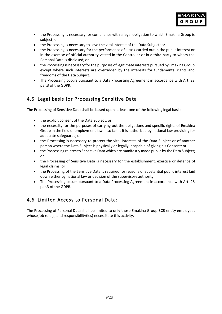

- the Processing is necessary for compliance with a legal obligation to which Emakina Group is subject; or
- the Processing is necessary to save the vital interest of the Data Subject; or
- the Processing is necessary for the performance of a task carried out in the public interest or in the exercise of official authority vested in the Controller or in a third party to whom the Personal Data is disclosed; or
- the Processing is necessary for the purposes of legitimate interests pursued by Emakina Group except where such interests are overridden by the interests for fundamental rights and freedoms of the Data Subject.
- The Processing occurs pursuant to a Data Processing Agreement in accordance with Art. 28 par.3 of the GDPR.

# 4.5 Legal basis for Processing Sensitive Data

The Processing of Sensitive Data shall be based upon at least one of the following legal basis:

- the explicit consent of the Data Subject; or
- the necessity for the purposes of carrying out the obligations and specific rights of Emakina Group in the field of employment law in so far as it is authorized by national law providing for adequate safeguards; or
- the Processing is necessary to protect the vital interests of the Data Subject or of another person where the Data Subject is physically or legally incapable of giving his Consent; or
- the Processing relates to Sensitive Data which are manifestly made public by the Data Subject; or
- the Processing of Sensitive Data is necessary for the establishment, exercise or defence of legal claims; or
- the Processing of the Sensitive Data is required for reasons of substantial public interest laid down either by national law or decision of the supervisory authority.
- The Processing occurs pursuant to a Data Processing Agreement in accordance with Art. 28 par.3 of the GDPR.

## 4.6 Limited Access to Personal Data:

The Processing of Personal Data shall be limited to only those Emakina Group BCR entity employees whose job role(s) and responsibility(ies) necessitate this activity.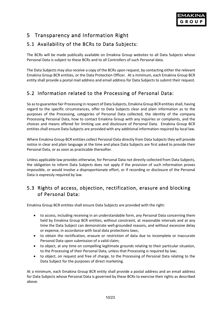# <span id="page-9-0"></span>5 Transparency and Information Right

# 5.1 Availability of the BCRs to Data Subjects:

The BCRs will be made publically available on Emakina Group websites to all Data Subjects whose Personal Data is subject to these BCRs and to all Controllers of such Personal data.

The Data Subjects may also receive a copy of the BCRs upon request, by contacting either the relevant Emakina Group BCR entities, or the Data Protection Officer. At a minimum, each Emakina Group BCR entity shall provide a postal mail address and email address for Data Subjects to submit their request.

# 5.2 Information related to the Processing of Personal Data:

So as to guarantee fair Processing in respect of Data Subjects, Emakina Group BCR entities shall, having regard to the specific circumstances, offer to Data Subjects clear and plain information as to the purposes of the Processing, categories of Personal Data collected, the identity of the company Processing Personal Data, how to contact Emakina Group with any inquiries or complaints, and the choices and means offered for limiting use and disclosure of Personal Data. Emakina Group BCR entities shall ensure Data Subjects are provided with any additional information required by local law.

Where Emakina Group BCR entities collect Personal Data directly from Data Subjects they will provide notice in clear and plain language at the time and place Data Subjects are first asked to provide their Personal Data, or as soon as practicable thereafter.

Unless applicable law provides otherwise, for Personal Data not directly collected from Data Subjects, the obligation to inform Data Subjects does not apply if the provision of such information proves impossible, or would involve a disproportionate effort, or if recording or disclosure of the Personal Data is expressly required by law.

## 5.3 Rights of access, objection, rectification, erasure and blocking of Personal Data:

Emakina Group BCR entities shall ensure Data Subjects are provided with the right:

- to access, including receiving in an understandable form, any Personal Data concerning them held by Emakina Group BCR entities, without constraint, at reasonable intervals and at any time the Data Subject can demonstrate well-grounded reasons, and without excessive delay or expense, in accordance with local data protections laws;
- to obtain the rectification, erasure or restriction of data due to incomplete or inaccurate Personal Data upon submission of a valid claim;
- to object, at any time on compelling legitimate grounds relating to their particular situation, to the Processing of their Personal Data, unless that Processing is required by law;
- to object, on request and free of charge, to the Processing of Personal Data relating to the Data Subject for the purposes of direct marketing.

At a minimum, each Emakina Group BCR entity shall provide a postal address and an email address for Data Subjects whose Personal Data is governed by these BCRs to exercise their rights as described above.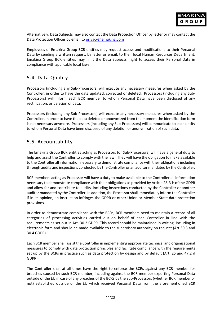

Alternatively, Data Subjects may also contact the Data Protection Officer by letter or may contact the Data Protection Officer by email to [privacy@emakina.com](mailto:privacy@emakina.com)

Employees of Emakina Group BCR entities may request access and modifications to their Personal Data by sending a written request, by letter or email, to their local Human Resources Department. Emakina Group BCR entities may limit the Data Subjects' right to access their Personal Data in compliance with applicable local laws.

## 5.4 Data Quality

Processors (including any Sub-Processors) will execute any necessary measures when asked by the Controller, in order to have the data updated, corrected or deleted. Processors (including any Sub-Processors) will inform each BCR member to whom Personal Data have been disclosed of any rectification, or deletion of data.

Processors (including any Sub-Processors) will execute any necessary measures when asked by the Controller, in order to have the data deleted or anonymized from the moment the identification form is not necessary anymore. Processors (including any Sub-Processors) will communicate to each entity to whom Personal Data have been disclosed of any deletion or anonymization of such data.

## 5.5 Accountability

The Emakina Group BCR entities acting as Processors (or Sub-Processors) will have a general duty to help and assist the Controller to comply with the law. They will have the obligation to make available to the Controller all information necessary to demonstrate compliance with their obligations including through audits and inspections conducted by the Controller or an auditor mandated by the Controller.

BCR members acting as Processor will have a duty to make available to the Controller all information necessary to demonstrate compliance with their obligations as provided by Article 28-3-h of the GDPR and allow for and contribute to audits, including inspections conducted by the Controller or another auditor mandated by the Controller. In addition, the Processor shall immediately inform the Controller if in its opinion, an instruction infringes the GDPR or other Union or Member State data protection provisions.

In order to demonstrate compliance with the BCRs, BCR members need to maintain a record of all categories of processing activities carried out on behalf of each Controller in line with the requirements as set out in Art. 30.2 GDPR. This record should be maintained in writing, including in electronic form and should be made available to the supervisory authority on request (Art.30.3 and 30.4 GDPR).

Each BCR member shall assist the Controller in implementing appropriate technical and organizational measures to comply with data protection principles and facilitate compliance with the requirements set up by the BCRs in practice such as data protection by design and by default (Art. 25 and 47.2 d GDPR).

The Controller shall at all times have the right to enforce the BCRs against any BCR member for breaches caused by such BCR member, including against the BCR member exporting Personal Data outside of the EU in case of any breaches of the BCRs by the Sub-Processors (whether BCR member or not) established outside of the EU which received Personal Data from the aforementioned BCR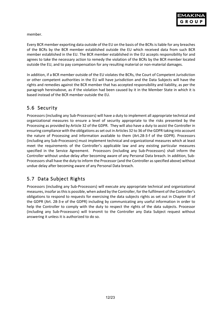member.

Every BCR member exporting data outside of the EU on the basis of the BCRs is liable for any breaches of the BCRs by the BCR member established outside the EU which received data from such BCR member established in the EU. The BCR member established in the EU accepts responsibility for and agrees to take the necessary action to remedy the violation of the BCRs by the BCR member located outside the EU, and to pay compensation for any resulting material or non-material damages.

In addition, if a BCR member outside of the EU violates the BCRs, the Court of Competent Jurisdiction or other competent authorities in the EU will have jurisdiction and the Data Subjects will have the rights and remedies against the BCR member that has accepted responsibility and liability, as per the paragraph hereinabove, as if the violation had been caused by it in the Member State in which it is based instead of the BCR member outside the EU.

## 5.6 Security

Processors (including any Sub-Processors) will have a duty to implement all appropriate technical and organizational measures to ensure a level of security appropriate to the risks presented by the Processing as provided by Article 32 of the GDPR. They will also have a duty to assist the Controller in ensuring compliance with the obligations as set out in Articles 32 to 36 of the GDPR taking into account the nature of Processing and information available to them (Art.28-3-f of the GDPR). Processors (including any Sub-Processors) must implement technical and organizational measures which at least meet the requirements of the Controller's applicable law and any existing particular measures specified in the Service Agreement. Processors (including any Sub-Processors) shall inform the Controller without undue delay after becoming aware of any Personal Data breach. In addition, Sub-Processors shall have the duty to inform the Processor (and the Controller as specified above) without undue delay after becoming aware of any Personal Data breach.

# 5.7 Data Subject Rights

Processors (including any Sub-Processors) will execute any appropriate technical and organizational measures, insofar as this is possible, when asked by the Controller, for the fulfilment of the Controller's obligations to respond to requests for exercising the data subjects rights as set out in Chapter III of the GDPR (Art. 28-3-e of the GDPR) including by communicating any useful information in order to help the Controller to comply with the duty to respect the rights of the data subjects. Processor (including any Sub-Processors) will transmit to the Controller any Data Subject request without answering it unless it is authorized to do so.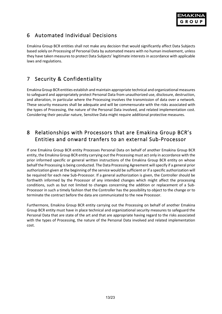

# <span id="page-12-0"></span>6 Automated Individual Decisions

Emakina Group BCR entities shall not make any decision that would significantly affect Data Subjects based solely on Processing of Personal Data by automated means with no human involvement, unless they have taken measures to protect Data Subjects' legitimate interests in accordance with applicable laws and regulations.

# <span id="page-12-1"></span>7 Security & Confidentiality

Emakina Group BCR entities establish and maintain appropriate technical and organizational measures to safeguard and appropriately protect Personal Data from unauthorized use, disclosure, destruction, and alteration, in particular where the Processing involves the transmission of data over a network. These security measures shall be adequate and will be commensurate with the risks associated with the types of Processing, the nature of the Personal Data involved, and related implementation cost. Considering their peculiar nature, Sensitive Data might require additional protective measures.

# <span id="page-12-2"></span>8 Relationships with Processors that are Emakina Group BCR's Entities and onward tranfers to an external Sub-Processor

If one Emakina Group BCR entity Processes Personal Data on behalf of another Emakina Group BCR entity, the Emakina Group BCR entity carrying out the Processing must act only in accordance with the prior informed specific or general written instructions of the Emakina Group BCR entity on whose behalf the Processing is being conducted. The Data Processing Agreement will specify if a general prior authorization given at the beginning of the service would be sufficient or if a specific authorization will be required for each new Sub-Processor. If a general authorization is given, the Controller should be forthwith informed by the Processor of any intended changes which might affect the processing conditions, such as but not limited to changes concerning the addition or replacement of a Sub-Processor in such a timely fashion that the Controller has the possibility to object to the change or to terminate the contract before the data are communicated to the new Processor.

Furthermore, Emakina Group BCR entity carrying out the Processing on behalf of another Emakina Group BCR entity must have in place technical and organizational security measures to safeguard the Personal Data that are state of the art and that are appropriate having regard to the risks associated with the types of Processing, the nature of the Personal Data involved and related implementation cost.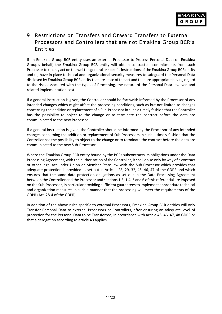

# <span id="page-13-0"></span>9 Restrictions on Transfers and Onward Transfers to External Processors and Controllers that are not Emakina Group BCR's Entities

If an Emakina Group BCR entity uses an external Processor to Process Personal Data on Emakina Group's behalf, the Emakina Group BCR entity will obtain contractual commitments from such Processor to (i) only act on the written general or specific instructions of the Emakina Group BCR entity and (ii) have in place technical and organizational security measures to safeguard the Personal Data disclosed by Emakina Group BCR entity that are state of the art and that are appropriate having regard to the risks associated with the types of Processing, the nature of the Personal Data involved and related implementation cost.

If a general instruction is given, the Controller should be forthwith informed by the Processor of any intended changes which might affect the processing conditions, such as but not limited to changes concerning the addition or replacement of a Sub-Processor in such a timely fashion that the Controller has the possibility to object to the change or to terminate the contract before the data are communicated to the new Processor.

If a general instruction is given, the Controller should be informed by the Processor of any intended changes concerning the addition or replacement of Sub-Processors in such a timely fashion that the Controller has the possibility to object to the change or to terminate the contract before the data are communicated to the new Sub-Processor.

Where the Emakina Group BCR entity bound by the BCRs subcontracts its obligations under the Data Processing Agreement, with the authorization of the Controller, it shall do so only by way of a contract or other legal act under Union or Member State law with the Sub-Processor which provides that adequate protection is provided as set out in Articles 28, 29, 32, 45, 46, 47 of the GDPR and which ensures that the same data protection obligations as set out in the Data Processing Agreement between the Controller and the Processor and sections 1.3, 1.4, 3 and 6 of this referential are imposed on the Sub-Processor, in particular providing sufficient guarantees to implement appropriate technical and organization measures in such a manner that the processing will meet the requirements of the GDPR (Art. 28-4 of the GDPR).

In addition of the above rules specific to external Processors, Emakina Group BCR entities will only Transfer Personal Data to external Processors or Controllers, after ensuring an adequate level of protection for the Personal Data to be Transferred, in accordance with article 45, 46, 47, 48 GDPR or that a derogation according to article 49 applies.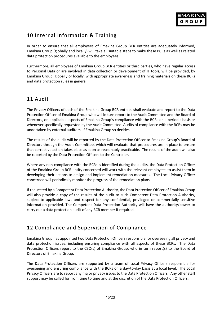

# <span id="page-14-0"></span>10 Internal Information & Training

In order to ensure that all employees of Emakina Group BCR entities are adequately informed, Emakina Group (globally and locally) will take all suitable steps to make these BCRs as well as related data protection procedures available to the employees.

Furthermore, all employees of Emakina Group BCR entities or third parties, who have regular access to Personal Data or are involved in data collection or development of IT tools, will be provided, by Emakina Group, globally or locally, with appropriate awareness and training materials on these BCRs and data protection rules in general.

# <span id="page-14-1"></span>11 Audit

The Privacy Officers of each of the Emakina Group BCR entities shall evaluate and report to the Data Protection Officer of Emakina Group who will in turn report to the Audit Committee and the Board of Directors, on applicable aspects of Emakina Group's compliance with the BCRs on a periodic basis or whenever specifically requested by the Audit Committee. Audits of compliance with the BCRs may be undertaken by external auditors, if Emakina Group so decides.

The results of the audit will be reported by the Data Protection Officer to Emakina Group's Board of Directors through the Audit Committee, which will evaluate that procedures are in place to ensure that corrective action takes place as soon as reasonably practicable. The results of the audit will also be reported by the Data Protection Officers to the Controller.

Where any non-compliance with the BCRs is identified during the audits, the Data Protection Officer of the Emakina Group BCR entity concerned will work with the relevant employees to assist them in developing their actions to design and implement remediation measures. The Local Privacy Officer concerned will periodically monitor the progress of the remediation plans.

If requested by a Competent Data Protection Authority, the Data Protection Officer of Emakina Group will also provide a copy of the results of the audit to such Competent Data Protection Authority, subject to applicable laws and respect for any confidential, privileged or commercially sensitive information provided. The Competent Data Protection Authority will have the authority/power to carry out a data protection audit of any BCR member if required.

# <span id="page-14-2"></span>12 Compliance and Supervision of Compliance

Emakina Group has appointed two Data Protection Officers responsible for overseeing all privacy and data protection issues, including ensuring compliance with all aspects of these BCRs. The Data Protection Officers report to the CEO(s) of Emakina Group, who in turn report(s) to the Board of Directors of Emakina Group.

The Data Protection Officers are supported by a team of Local Privacy Officers responsible for overseeing and ensuring compliance with the BCRs on a day-to-day basis at a local level. The Local Privacy Officers are to report any major privacy issues to the Data Protection Officers. Any other staff support may be called for from time to time and at the discretion of the Data Protection Officers.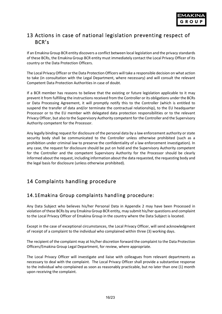

# <span id="page-15-0"></span>13 Actions in case of national legislation preventing respect of BCR's

If an Emakina Group BCR entity discovers a conflict between local legislation and the privacy standards of these BCRs, the Emakina Group BCR entity must immediately contact the Local Privacy Officer of its country or the Data Protection Officers.

The Local Privacy Officer or the Data Protection Officers will take a responsible decision on what action to take (in consultation with the Legal Department, where necessary) and will consult the relevant Competent Data Protection Authorities in case of doubt.

If a BCR member has reasons to believe that the existing or future legislation applicable to it may prevent it from fulfilling the instructions received from the Controller or its obligations under the BCRs or Data Processing Agreement, it will promptly notify this to the Controller (which is entitled to suspend the transfer of data and/or terminate the contractual relationship), to the EU headquarter Processor or to the EU member with delegated data protection responsibilities or to the relevant Privacy Officer, but also to the Supervisory Authority competent for the Controller and the Supervisory Authority competent for the Processor.

Any legally binding request for disclosure of the personal data by a law enforcement authority or state security body shall be communicated to the Controller unless otherwise prohibited (such as a prohibition under criminal law to preserve the confidentiality of a law enforcement investigation). In any case, the request for disclosure should be put on hold and the Supervisory Authority competent for the Controller and the competent Supervisory Authority for the Processor should be clearly informed about the request, including information about the data requested, the requesting body and the legal basis for disclosure (unless otherwise prohibited).

# <span id="page-15-1"></span>14 Complaints handling procedure

## 14.1Emakina Group complaints handling procedure:

Any Data Subject who believes his/her Personal Data in Appendix 2 may have been Processed in violation of these BCRs by any Emakina Group BCR entity, may submit his/her questions and complaint to the Local Privacy Officer of Emakina Group in the country where the Data Subject is located.

Except in the case of exceptional circumstances, the Local Privacy Officer, will send acknowledgment of receipt of a complaint to the individual who complained within three (3) working days.

The recipient of the complaint may at his/her discretion forward the complaint to the Data Protection Officers/Emakina Group Legal Department, for review, where appropriate.

The Local Privacy Officer will investigate and liaise with colleagues from relevant departments as necessary to deal with the complaint. The Local Privacy Officer shall provide a substantive response to the individual who complained as soon as reasonably practicable, but no later than one (1) month upon receiving the complaint.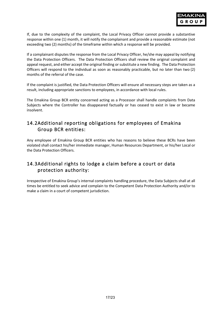If, due to the complexity of the complaint, the Local Privacy Officer cannot provide a substantive response within one (1) month, it will notify the complainant and provide a reasonable estimate (not exceeding two (2) months) of the timeframe within which a response will be provided.

If a complainant disputes the response from the Local Privacy Officer, he/she may appeal by notifying the Data Protection Officers. The Data Protection Officers shall review the original complaint and appeal request, and either accept the original finding or substitute a new finding. The Data Protection Officers will respond to the individual as soon as reasonably practicable, but no later than two (2) months of the referral of the case.

If the complaint is justified, the Data Protection Officers will ensure all necessary steps are taken as a result, including appropriate sanctions to employees, in accordance with local rules.

The Emakina Group BCR entity concerned acting as a Processor shall handle complaints from Data Subjects where the Controller has disappeared factually or has ceased to exist in law or became insolvent.

### 14.2Additional reporting obligations for employees of Emakina Group BCR entities:

Any employee of Emakina Group BCR entities who has reasons to believe these BCRs have been violated shall contact his/her immediate manager, Human Resources Department, or his/her Local or the Data Protection Officers.

# 14.3Additional rights to lodge a claim before a court or data protection authority:

Irrespective of Emakina Group's internal complaints handling procedure, the Data Subjects shall at all times be entitled to seek advice and complain to the Competent Data Protection Authority and/or to make a claim in a court of competent jurisdiction.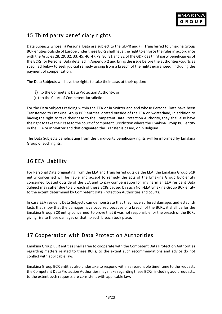

# <span id="page-17-0"></span>15 Third party beneficiary rights

Data Subjects whose (i) Personal Data are subject to the GDPR and (ii) Transferred to Emakina Group BCR entities outside of Europe under these BCRs shall have the right to enforce the rules in accordance with the Articles 28, 29, 32, 33, 45, 46, 47,79, 80, 81 and 82 of the GDPR as third party beneficiaries of the BCRs for Personal Data detailed in Appendix 2 and bring the issue before the authorities/courts as specified below to seek judicial remedy arising from a breach of the rights guaranteed, including the payment of compensation.

The Data Subjects will have the rights to take their case, at their option:

- (i) to the Competent Data Protection Authority, or
- (ii) to the Court of Competent Jurisdiction.

For the Data Subjects residing within the EEA or in Switzerland and whose Personal Data have been Transferred to Emakina Group BCR entities located outside of the EEA or Switzerland, in addition to having the right to take their case to the Competent Data Protection Authority, they shall also have the right to take their case to the court of competent jurisdiction where the Emakina Group BCR entity in the EEA or in Switzerland that originated the Transfer is based, or in Belgium.

The Data Subjects beneficiating from the third-party beneficiary rights will be informed by Emakina Group of such rights.

# <span id="page-17-1"></span>16 EEA Liability

For Personal Data originating from the EEA and Transferred outside the EEA, the Emakina Group BCR entity concerned will be liable and accept to remedy the acts of the Emakina Group BCR entity concerned located outside of the EEA and to pay compensation for any harm an EEA resident Data Subject may suffer due to a breach of these BCRs caused by such Non-EEA Emakina Group BCR entity to the extent determined by Competent Data Protection Authorities and courts.

In case EEA resident Data Subjects can demonstrate that they have suffered damages and establish facts that show that the damages have occurred because of a breach of the BCRs, it shall be for the Emakina Group BCR entity concerned to prove that it was not responsible for the breach of the BCRs giving rise to those damages or that no such breach took place.

# <span id="page-17-2"></span>17 Cooperation with Data Protection Authorities

Emakina Group BCR entities shall agree to cooperate with the Competent Data Protection Authorities regarding matters related to these BCRs, to the extent such recommendations and advice do not conflict with applicable law.

Emakina Group BCR entities also undertake to respond within a reasonable timeframe to the requests the Competent Data Protection Authorities may make regarding these BCRs, including audit requests, to the extent such requests are consistent with applicable law.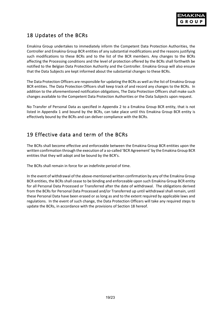

# <span id="page-18-0"></span>18 Updates of the BCRs

Emakina Group undertakes to immediately inform the Competent Data Protection Authorities, the Controller and Emakina Group BCR entities of any substantial modifications and the reasons justifying such modifications to these BCRs and to the list of the BCR members. Any changes to the BCRs affecting the Processing conditions and the level of protection offered by the BCRs shall forthwith be notified to the Belgian Data Protection Authority and the Controller. Emakina Group will also ensure that the Data Subjects are kept informed about the substantial changes to these BCRs.

The Data Protection Officers are responsible for updating the BCRs as well as the list of Emakina Group BCR entities. The Data Protection Officers shall keep track of and record any changes to the BCRs. In addition to the aforementioned notification obligations, The Data Protection Officers shall make such changes available to the Competent Data Protection Authorities or the Data Subjects upon request.

No Transfer of Personal Data as specified in Appendix 2 to a Emakina Group BCR entity, that is not listed in Appendix 1 and bound by the BCRs, can take place until this Emakina Group BCR entity is effectively bound by the BCRs and can deliver compliance with the BCRs.

# <span id="page-18-1"></span>19 Effective data and term of the BCRs

The BCRs shall become effective and enforceable between the Emakina Group BCR entities upon the written confirmation through the execution of a so-called 'BCR Agreement' by the Emakina Group BCR entities that they will adopt and be bound by the BCR's.

The BCRs shall remain in force for an indefinite period of time.

In the event of withdrawal of the above-mentioned written confirmation by any of the Emakina Group BCR entities, the BCRs shall cease to be binding and enforceable upon such Emakina Group BCR entity for all Personal Data Processed or Transferred after the date of withdrawal. The obligations derived from the BCRs for Personal Data Processed and/or Transferred up until withdrawal shall remain, until these Personal Data have been erased or as long as and to the extent required by applicable laws and regulations. In the event of such change, the Data Protection Officers will take any required steps to update the BCRs, in accordance with the provisions of Section 18 hereof.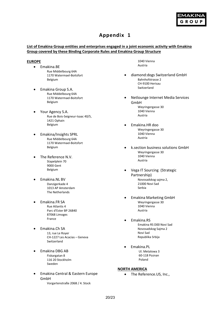

# **Appendix 1**

### <span id="page-19-0"></span>**List of Emakina Group entities and enterprises engaged in a joint economic activity with Emakina Group covered by these Binding Corporate Rules and Emakina Group Structure**

#### **EUROPE**

- Emakina.BE Rue Middelbourg 64A 1170 Watermael-Boitsfort Belgium
- Emakina Group S.A. Rue Middelbourg 64A 1170 Watermael-Boitsfort Belgium
- Your Agency S.A. Rue de Bois-Seigneur-Isaac 40/5, 1421 Ophain Belgium
- Emakina/Insights SPRL Rue Middelbourg 64A 1170 Watermael-Boitsfort Belgium
- The Reference N.V. Stapelplein 70 9000 Gent Belgium
- Emakina.NL BV Danzigerkade 4 1013 AP Amsterdam The Netherlands
- Emakina.FR SA Rue Atlantis 4 Parc d'Ester BP 26840 87068 Limoges France
- Emakina.Ch SA 13, rue Le Royer CH-1227 Les Acacias – Geneva Switzerland
- Emakina DBG AB Fiskargatan 8 116 20 Stockholm Sweden
- Emakina Central & Eastern Europe GmbH Vorgartenstraße 206B / 4. Stock

1040 Vienna Austria

- diamond:dogs Switzerland GmbH Bahnhofstrasse 2 CH-9100 Herisau Switzerland
- Netlounge Internet Media Services GmbH Weyringergasse 30 1040 Vienna Austria
- Emakina.HR doo Weyringergasse 30 1040 Vienna Austria
- k.section business solutions GmbH Weyringergasse 30 1040 Vienna Austria
- Vega IT Sourcing (Strategic Partnership) Novosadskog sajma 2, 21000 Novi Sad Serbia
- Emakina Marketing GmbH Weyringergasse 30 1040 Vienna Austria
- Emakina.RS Emakina RS D00 Novi Sad Novosadskog Sajma 2 Novi Sad Republika Srbija
- Emakina.PL Ul. Metalowa 3 60-118 Poznan Poland

#### **NORTH AMERICA**

• The Reference.US, Inc.,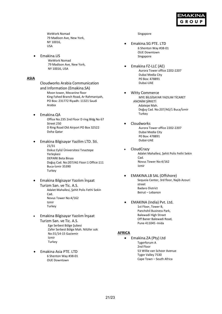

WeWork Nomad 79 Madison Ave, New York, NY 10016, USA

• Emakina.US WeWork Nomad 79 Madison Ave, New York, NY 10016, USA

#### **ASIA**

Cloudworks Arabia Communication and Information (Emakina.SA) Moon tower, Mezanine floor King Fahed Branch Road, Ar Rahmaniyah, PO Box: 231772 Riyadh: 11321 Saudi Arabia

- Emakina.QA Office No.235 2nd Floor D ring Bldg No 67 Street 250 D Ring Road Old Airport PO Box 32522 Doha Qatar
	- Emakina Bilgisayar Yazilim LTD. Sti. 21/31 Dokuz Eylül Üniversitesi Tınaztepe Yerleşkesi DEPARK Beta Binası Doğuş Cad. No:207/AG Floor:1 Office:111 Buca-İzmir 35390 **Turkey**
- Emakina Bilgisayar Yazılım İnşaat Turizm San. ve Tic. A.S. Adalet Mahallesi, Şehit Polis Fethi Sekin Cad. Novus Tower No:4/162 Izmir **Turkey**
- Emakina Bilgisayar Yazılım İnşaat Turizm San. ve Tic. A.S. Ege Serbest Bölge Şubesi Zafer Serbest Bölge Mah. Nilüfer sok No:31/14-15 Gaziemir Izmir Turkey
- Emakina Asia PTE. LTD 6 Shenton Way #38-01 OUE Downtown

#### Singapore

- Emakina.SG PTE. LTD 6 Shenton Way #38-01 OUE Downtown Singapore
- Emakina FZ-LLC (AE) Aurora Tower office 2202-2207 Dubai Media City P0 Box: 478891 Dubai-UAE
- Witty Commerce MYE BİLGİSAYAR YAZILIM TİCARET ANONİM ŞİRKETİ Adatepe Mah. Doğuş Cad. No:207/AG/1 Buca/İzmir Turkey
- Cloudworks Aurora Tower office 2202-2207 Dubai Media City P0 Box: 478891 Dubai-UAE
- CloudCrazy Adalet Mahallesi, Şehit Polis Fethi Sekin Cad. Novus Tower No:4/162 Izmir
- EMAKINA.LB SAL (Offshore) Sequoia Center, 3rd floor, Najib Azouri street Badaro District Beirut – Lebanon
- EMAKINA (India) Pvt. Ltd. 1st Floor, Tower B, Panchshil Business Park, Balewadi High Street Off Baner Balewadi Road, Pune 411045 -Inida

#### **AFRICA**

• Emakina.ZA (Pty) Ltd Tygerforum A 2nd Floor 53 Willie van Schoor Avenue Tyger Valley 7530 Cape Town – South Africa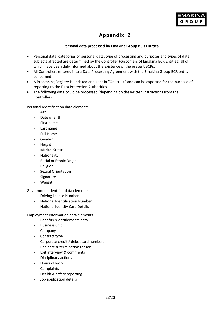

# **Appendix 2**

### **Personal data processed by Emakina Group BCR Entities**

- <span id="page-21-0"></span>• Personal data, categories of personal data, type of processing and purposes and types of data subjects affected are determined by the Controller (customers of Emakina BCR Entities) all of which have been duly informed about the existence of the present BCRs.
- All Controllers entered into a Data Processing Agreement with the Emakina Group BCR entity concerned.
- A Processing Registry is updated and kept in "Onetrust" and can be exported for the purpose of reporting to the Data Protection Authorities.
- The following data could be processed (depending on the written instructions from the Controller):

### Personal Identification data elements

- Age
- Date of Birth
- First name
- Last name
- Full Name
- Gender
- Height
- Marital Status
- Nationality
- Racial or Ethnic Origin
- Religion
- Sexual Orientation
- Signature
- Weight

### Government Identifier data elements

- Driving license Number
- National Identification Number
- National Identity Card Details

#### Employment Information data elements

- Benefits & entitlements data
- Business unit
- Company
- Contract type
- Corporate credit / debet card numbers
- End date & termination reason
- Exit interview & comments
- Disciplinary actions
- Hours of work
- Complaints
- Health & safety reporting
- Job application details